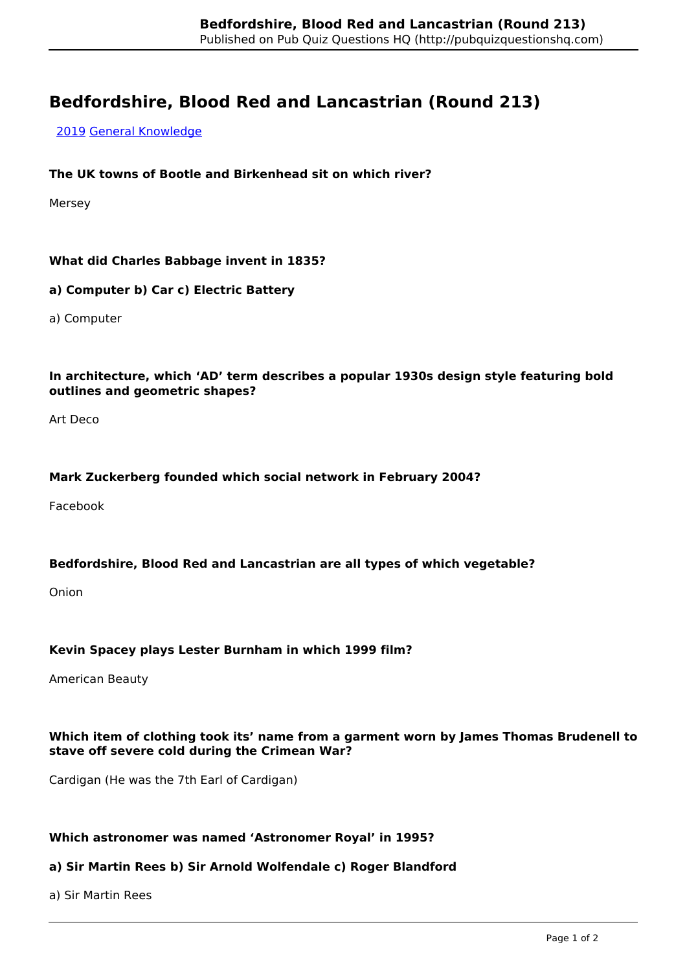# **Bedfordshire, Blood Red and Lancastrian (Round 213)**

[2019](http://pubquizquestionshq.com/categories/2019) [General Knowledge](http://pubquizquestionshq.com/categories/general-knowledge)

# **The UK towns of Bootle and Birkenhead sit on which river?**

Mersey

# **What did Charles Babbage invent in 1835?**

#### **a) Computer b) Car c) Electric Battery**

a) Computer

### **In architecture, which 'AD' term describes a popular 1930s design style featuring bold outlines and geometric shapes?**

Art Deco

#### **Mark Zuckerberg founded which social network in February 2004?**

Facebook

#### **Bedfordshire, Blood Red and Lancastrian are all types of which vegetable?**

Onion

#### **Kevin Spacey plays Lester Burnham in which 1999 film?**

American Beauty

# **Which item of clothing took its' name from a garment worn by James Thomas Brudenell to stave off severe cold during the Crimean War?**

Cardigan (He was the 7th Earl of Cardigan)

#### **Which astronomer was named 'Astronomer Royal' in 1995?**

#### **a) Sir Martin Rees b) Sir Arnold Wolfendale c) Roger Blandford**

a) Sir Martin Rees